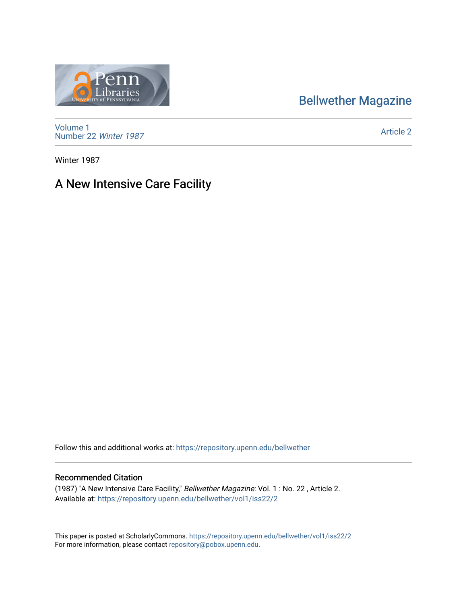## [Bellwether Magazine](https://repository.upenn.edu/bellwether)



[Volume 1](https://repository.upenn.edu/bellwether/vol1) [Number 22](https://repository.upenn.edu/bellwether/vol1/iss22) Winter 1987

[Article 2](https://repository.upenn.edu/bellwether/vol1/iss22/2) 

Winter 1987

### A New Intensive Care Facility

Follow this and additional works at: [https://repository.upenn.edu/bellwether](https://repository.upenn.edu/bellwether?utm_source=repository.upenn.edu%2Fbellwether%2Fvol1%2Fiss22%2F2&utm_medium=PDF&utm_campaign=PDFCoverPages) 

#### Recommended Citation

(1987) "A New Intensive Care Facility," Bellwether Magazine: Vol. 1 : No. 22 , Article 2. Available at: [https://repository.upenn.edu/bellwether/vol1/iss22/2](https://repository.upenn.edu/bellwether/vol1/iss22/2?utm_source=repository.upenn.edu%2Fbellwether%2Fvol1%2Fiss22%2F2&utm_medium=PDF&utm_campaign=PDFCoverPages)

This paper is posted at ScholarlyCommons.<https://repository.upenn.edu/bellwether/vol1/iss22/2> For more information, please contact [repository@pobox.upenn.edu.](mailto:repository@pobox.upenn.edu)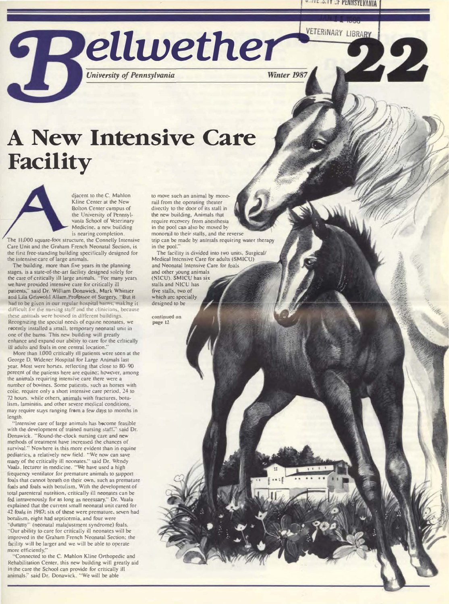VETERINARY LIBRARY



Winter 1987

# A New Intensive Care **Facility**

djacent to the C. Mahlon Kline Center at the New **Bolton Center campus of** the University of Pennsylvania School of Veterinary Medicine. a new building is nearing completion.

The 11,000 square-foot structure, the Connelly Intensive Care Unit and the Graham French Neonatal Section, is the first free-standing building specifically designed for the intensive care of large animals.

The building, more than five years in the planning stages, is a state-of-the-art facility designed solely for the care of critically ill large animals. "For many years we have provided intensive care for critically ill patients," said Dr. William Donawick, Mark Whittier and Lila Griswold Allam.Professor of Surgery, "But it had to be given in our regular hospital barns, making it difficult for the nursing staff and the clinicians, because these animals were housed in different buildings. Recognizing the special needs of equine neonates, we recently installed a small, temporary neonatal unit in one of the barns. This new building will greatly enhance and expand our ability to care for the critically ill adults and foals in one central location."

More than 1,000 critically ill patients were seen at the George D. Widener Hospital for Large Animals last year. Most were horses. reflecting that close to 80-90 pereent of the patients here are equine; however, among the animals requiring intensive care there were a number of bovines. Some patients, such as horses with colic, require only a short intensive care period, 24 to 72 hours. while others, animals with fractures, botulism, laminitis, and other severe medical conditions. may require stays ranging from a few days to months in length.

'Intensive care of large animals has become feasible with the development of trained nursing staff," said Dr. Donawick. "Round-the-clock nursing care and new methods of treatment have increased the chances of survival." Nowhere is this more evident than in equine<br>pediatrics, a relatively new field. "We now can save many of the critically ill neonates." said Dr. Wendy Vaala, lecturer in medicine. "We have used a high frequency ventilator for premature animals to support foals that cannot breath on their own, such as premature foals and foals with botulism. With the development of total parenteral nutrition, critically ill neonates can be fed intravenously for as long as necessary." Dr. Vaala explained that the current small neonatal unit cared for 42 foals in 1987: six of these were premature, seven had botulism, eight had septicemia, and four were "dummy" (neonatal malajustment syndrome) foals. "Our ability to care for critically ill neonates will be improved in the Graham French Neonatal Section; the facility will be larger and we will be able to operate more efficiently."

'Connected to the C. Mahlon Kline Orthopedic and Rehabilitation Center, this new building will greatly aid in the care the School can provide for critically ill animals." said Dr. Donawick. "We will be able

to move such an animal by monorail from the operating theater directly to the door of its stall in the new building. Animals that require recovery from anesthesia in the pool can also be moved by monorail to their stalls, and the reverse trip can be made by animals requiring water therapy in the pool.

The facility is divided into two units, Surgical/ Medical Intensive Care for adults (SMICU) and Neonatal Intensive Care for foals and other young animals (NICU). SMICU has six

stalls and NICU has five stalls, two of which are specially designed to be

continued on page 12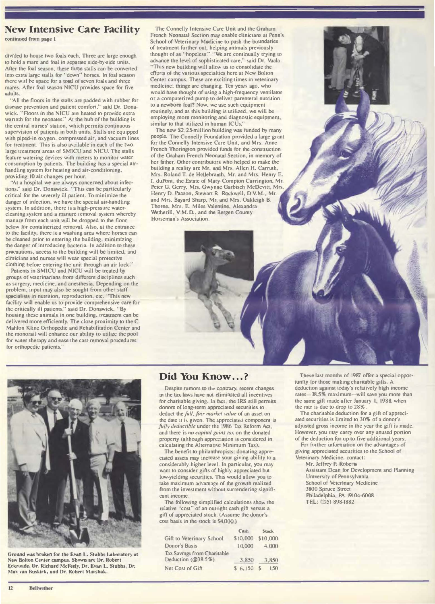#### New Intensive Care Facility

continued from page 1

divided to house two foals each. Three are large enough to hold a marc and foal in separate side-by-side units. After the foal season, these three stalls can be converted into extra large stalls for "down" horses. In foal season there witl be space for a total of seven foals and three mares. After foal season NICU provides space for five adults.

"All the floors in the stalls are padded with rubber for disease prevention and patient comfort." said Dr. Donawick. "Floors in the NICU are heated to provide extra warnth for the neonates." At the hub of the building is the central nurses' station, which permits continuous supervision of putients in both units. Stalls are equipped with piped-in oxygen, compressed air, and vacuum lines for treatment. This is also available in each of the two large treatment areas of SMICU and NlCU. The stalls feature watering devices with meters to monitor water consumption by patients. The building has a special airhandling system for heating and air-conditioning, providing 10 air changes per hour.

"At a hospital we are always concerned about infections," said Dr. Donawick. "This can be particularly critical for the severely ill patient. To minimize the danger of infection, we have the special air-handling system. In addition, there is a high-pressure watercleaning syslcm and a manure removal system whereby manure from each unit will be dropped to the tloor below for containerized removal. Also, at the entrance to the facility, there is a washing area where horses can be cleaned prior to entering the building. minimizing the danger of introducing bacteria. In addition to these precautions. access to the building will be limited, and clmicians and nurses will wear special protective clothing before entering the unit through an air lock. .

Patients in SMICU and NICU will be treated by groups ol veterinarians from different disciplines such as surgery, medicine, and anesthesia. Depending on the problem. input may also be sought from other staff specialists in nutrition. reproduction. etc. "This new facihty w11l enable us to provide comprehensive care for the critically ill patients," said Dr. Donawick. "By housing these animals in one building. treatment can be delivered more efficiently. The close proximity to the C. Mahlon Kline Orthopedic and Rehabilitation Center and the monorail will enhance our ability to utilize the pool for water therapy and ease the cast removal procedures for orthopedic patients.'

The Connelly intensive Care Unit and the Graham French Neonatal Section may enable clinicians at Penn's School of Veterinary Medicine to push the boundaries of treatment further out, helping animals previously thought of as "hopeless." "We are continually trying to advance the level of sophisticated care," said Dr. Vaala. ··This new building will allow us to consolidate the efforts of the various specialties here at New Bolton Center campus. These are exciting times in veterinary medicine: things are changing. Ten years ago, who would have thought of using a high-frequency ventilator or a computerized pump to deliver parenteral nutrition to a newborn foal? Now. we use such equipment routinely. and ns this building is utilized. we wiU be employing more monitoring and diagnostic equipment, similar to that utilized in human ICUs.'

The new \$2.25-million building was funded by many people. The Connelly Foundation provided a large grant for the Connelly Intensive Care Unit, and Mrs. Anne French Thorington provided funds for the construction of the Graham French Neonatal Section, in memory of her father. Other contributors who helped to make the building a reality are Mr. and Mrs. Allen H. Carruth. Mrs. Roland T. de Hellebranth, Mr. and Mrs. Henry E. 1. duPont, the Estate of Mary Compton Carrington. Mr. Peter G. Gerry, Mrs. Gwynne Garbisch McDevitt. Mrs. Henry D. Paxson, Stewart R. Rockwell, D.V.M., Mr. and Mrs. Bayard Sharp. Mr. and Mrs. Oakleigh B. Thorne. Mrs. E. Miles Valentine, Alexandra Wetherill, V.M.D.. and the Bergen County Horseman's Association.



Ground was broken for the Evan L. Stubbs Laboratory at New Bolton Center campus. Sbown arc Or. Robert Eckroade. Or. Richard McFeely, Dr. Evan L. Stubbs, Dr. Max van Buskirk, and Dr. Robert Marshak.

### Did You Know...?

Despite rumors to the contrary, recent changes in the tax laws have not elimmated all incentives for charitable giving. In fact, the IRS still permits donors of long-term appreciated securities to deduct the full, fair market value of an asset on the date it is given. The appreciated component is fully deductible under the 1986 Tax Reform Act. and there is no capital gains tax on the donated property (although appreciation is considered in calculating the Alternative Minimum Tax).

The benefit to philanthropists: donating appreciated assets may increase your giving ability to a considerably higher level. In pamcular. you may want to consider gifts of highly appreciated but low-yielding securities. This would allow you to take maximum advantage of the growth realized from the investment without surrendering significant income.

The following simplified calculations show the relative "cost" of an outright cash gift versus a gift of appreciated stock. (Assume the donor's cost basis in the stock is \$4,000.)

|                                   | <b>Cash</b> | <b>Stock</b>      |
|-----------------------------------|-------------|-------------------|
| Gift to Veterinary School         | \$10,000    | \$10,000          |
| <b>Donor's Basis</b>              | 10,000      | 4,000             |
| <b>Tax Savmgs from Charitable</b> |             |                   |
| Deduction (@38.5%)                | 3,850       | 3,850             |
| Net Cost of Gift                  | \$6,150     | - S<br><b>150</b> |

These last months of 1987 offer a special opportunity for those making charitable gifts. A deduction against today's relatively hagh income rates-38.5% maximum-will save you more than the same gift made after January 1. 1988 when the rate is due to drop to 28%

The charitable deduction for a gift of appreciated securities is limited to 30% of a donor's adjusted gross income in the year the gift is made. However. you may carry over any unused portion of the deduction for up to five addilional years.

For further information on the advantages of giving appreciated securities to the School of Veterinary Medicine. contact:

Mr. Jeffrey P. Roberts

Assistant Dean for Development and Planning University of Pennsylvania **School of Veterinary Medicine** 3800 Spruce Street Philadelphia, PA 19104-6008 TEL: (215) 898-1882